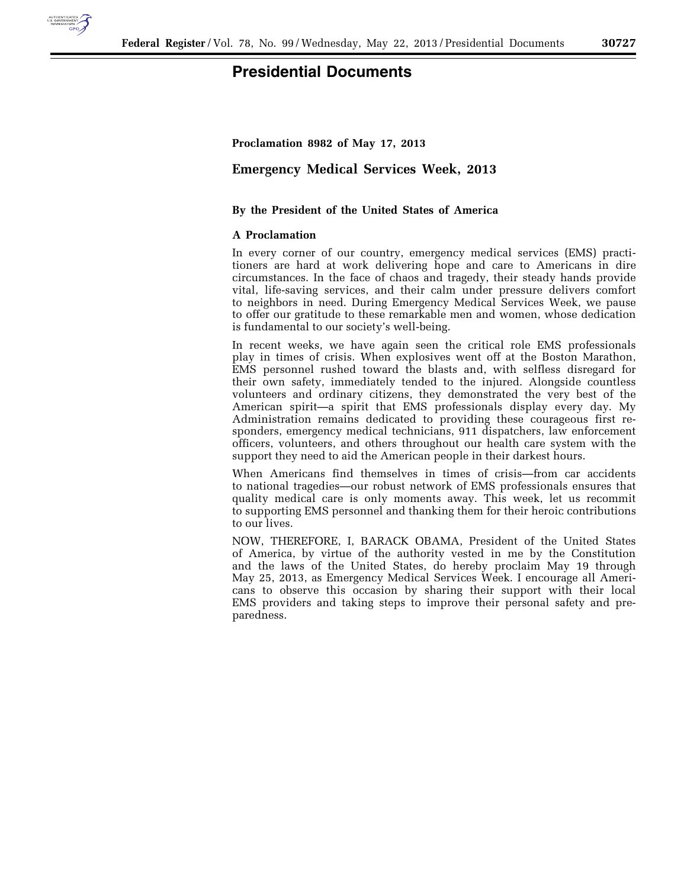

## **Presidential Documents**

**Proclamation 8982 of May 17, 2013** 

**Emergency Medical Services Week, 2013** 

## **By the President of the United States of America**

## **A Proclamation**

In every corner of our country, emergency medical services (EMS) practitioners are hard at work delivering hope and care to Americans in dire circumstances. In the face of chaos and tragedy, their steady hands provide vital, life-saving services, and their calm under pressure delivers comfort to neighbors in need. During Emergency Medical Services Week, we pause to offer our gratitude to these remarkable men and women, whose dedication is fundamental to our society's well-being.

In recent weeks, we have again seen the critical role EMS professionals play in times of crisis. When explosives went off at the Boston Marathon, EMS personnel rushed toward the blasts and, with selfless disregard for their own safety, immediately tended to the injured. Alongside countless volunteers and ordinary citizens, they demonstrated the very best of the American spirit—a spirit that EMS professionals display every day. My Administration remains dedicated to providing these courageous first responders, emergency medical technicians, 911 dispatchers, law enforcement officers, volunteers, and others throughout our health care system with the support they need to aid the American people in their darkest hours.

When Americans find themselves in times of crisis—from car accidents to national tragedies—our robust network of EMS professionals ensures that quality medical care is only moments away. This week, let us recommit to supporting EMS personnel and thanking them for their heroic contributions to our lives.

NOW, THEREFORE, I, BARACK OBAMA, President of the United States of America, by virtue of the authority vested in me by the Constitution and the laws of the United States, do hereby proclaim May 19 through May 25, 2013, as Emergency Medical Services Week. I encourage all Americans to observe this occasion by sharing their support with their local EMS providers and taking steps to improve their personal safety and preparedness.